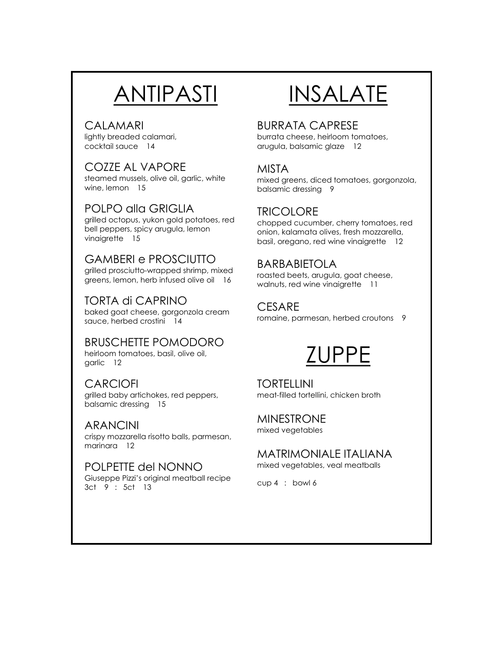# ANTIPASTI

### CALAMARI

lightly breaded calamari, cocktail sauce 14

## COZZE AL VAPORE

steamed mussels, olive oil, garlic, white wine, lemon 15

## POLPO alla GRIGLIA

grilled octopus, yukon gold potatoes, red bell peppers, spicy arugula, lemon vinaigrette 15

## GAMBERI e PROSCIUTTO

grilled prosciutto-wrapped shrimp, mixed greens, lemon, herb infused olive oil 16

## TORTA di CAPRINO

baked goat cheese, gorgonzola cream sauce, herbed crostini 14

#### BRUSCHETTE POMODORO heirloom tomatoes, basil, olive oil, garlic 12

## **CARCIOFI**

grilled baby artichokes, red peppers, balsamic dressing 15

## ARANCINI

crispy mozzarella risotto balls, parmesan, marinara 12

#### POLPETTE del NONNO Giuseppe Pizzi's original meatball recipe 3ct 9 : 5ct 13

# INSALATE

## BURRATA CAPRESE

burrata cheese, heirloom tomatoes, arugula, balsamic glaze 12

## MISTA

mixed greens, diced tomatoes, gorgonzola, balsamic dressing 9

## **TRICOLORE**

chopped cucumber, cherry tomatoes, red onion, kalamata olives, fresh mozzarella, basil, oregano, red wine vinaigrette 12

## BARBABIETOLA

roasted beets, arugula, goat cheese, walnuts, red wine vinaigrette 11

## **CESARE**

romaine, parmesan, herbed croutons 9

## ZUPPE

TORTELLINI meat-filled tortellini, chicken broth

#### MINESTRONE mixed vegetables

MATRIMONIALE ITALIANA mixed vegetables, veal meatballs

cup 4 : bowl 6